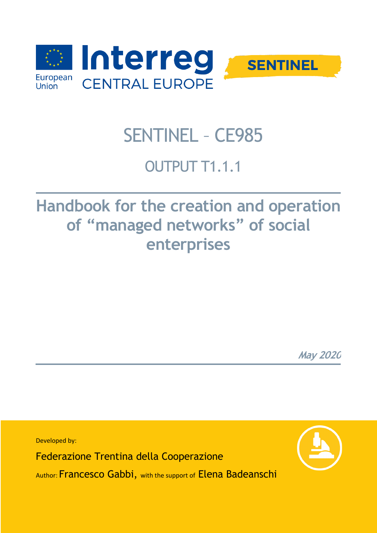

# SENTINEL – CE985

## OUTPUT T1.1.1

## **Handbook for the creation and operation of "managed networks" of social enterprises** u cau<br>Detwol

**May 2020**

Developed by: Federazione Trentina della Cooperazione Author: Francesco Gabbi, with the support of Elena Badeanschi

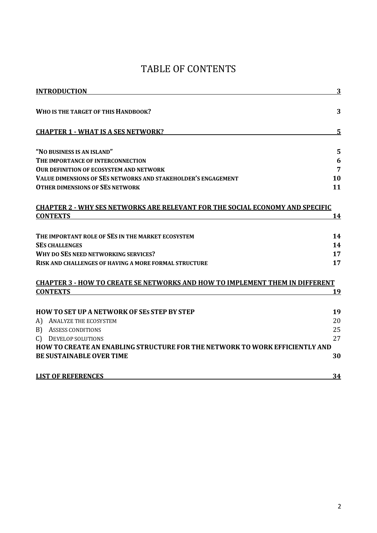### TABLE OF CONTENTS

| <b>INTRODUCTION</b>                                                                  | 3          |
|--------------------------------------------------------------------------------------|------------|
| WHO IS THE TARGET OF THIS HANDBOOK?                                                  | 3          |
|                                                                                      |            |
| <b>CHAPTER 1 - WHAT IS A SES NETWORK?</b>                                            | 5          |
| "NO BUSINESS IS AN ISLAND"                                                           | 5          |
| THE IMPORTANCE OF INTERCONNECTION                                                    | 6          |
| <b>OUR DEFINITION OF ECOSYSTEM AND NETWORK</b>                                       | 7          |
| VALUE DIMENSIONS OF SES NETWORKS AND STAKEHOLDER'S ENGAGEMENT                        | 10         |
| <b>OTHER DIMENSIONS OF SES NETWORK</b>                                               | 11         |
| <b>CHAPTER 2 - WHY SES NETWORKS ARE RELEVANT FOR THE SOCIAL ECONOMY AND SPECIFIC</b> |            |
| <b>CONTEXTS</b>                                                                      | <u> 14</u> |
|                                                                                      |            |
| THE IMPORTANT ROLE OF SES IN THE MARKET ECOSYSTEM                                    | 14         |
| <b>SES CHALLENGES</b>                                                                | 14         |
| WHY DO SES NEED NETWORKING SERVICES?                                                 | 17         |
| RISK AND CHALLENGES OF HAVING A MORE FORMAL STRUCTURE                                | 17         |
| <b>CHAPTER 3 - HOW TO CREATE SE NETWORKS AND HOW TO IMPLEMENT THEM IN DIFFERENT</b>  |            |
| <b>CONTEXTS</b>                                                                      | <u>19</u>  |
|                                                                                      |            |
| <b>HOW TO SET UP A NETWORK OF SES STEP BY STEP</b>                                   | 19         |
| A)<br>ANALYZE THE ECOSYSTEM                                                          | 20         |
| B) ASSESS CONDITIONS                                                                 | 25         |
| <b>DEVELOP SOLUTIONS</b><br>C)                                                       | 27         |
| HOW TO CREATE AN ENABLING STRUCTURE FOR THE NETWORK TO WORK EFFICIENTLY AND          |            |
| <b>BE SUSTAINABLE OVER TIME</b>                                                      | 30         |
| <b>LIST OF REFERENCES</b>                                                            | 34         |
|                                                                                      |            |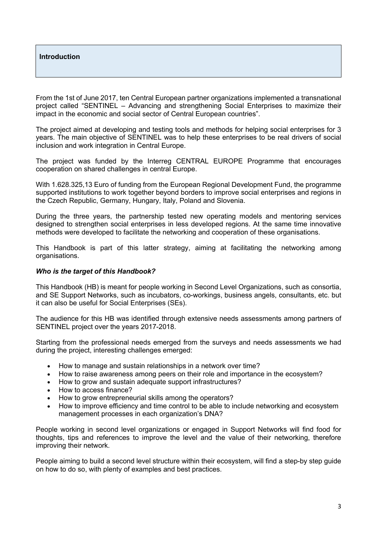#### **Introduction**

From the 1st of June 2017, ten Central European partner organizations implemented a transnational project called "SENTINEL – Advancing and strengthening Social Enterprises to maximize their impact in the economic and social sector of Central European countries".

The project aimed at developing and testing tools and methods for helping social enterprises for 3 years. The main objective of SENTINEL was to help these enterprises to be real drivers of social inclusion and work integration in Central Europe.

The project was funded by the Interreg CENTRAL EUROPE Programme that encourages cooperation on shared challenges in central Europe.

With 1.628.325,13 Euro of funding from the European Regional Development Fund, the programme supported institutions to work together beyond borders to improve social enterprises and regions in the Czech Republic, Germany, Hungary, Italy, Poland and Slovenia.

During the three years, the partnership tested new operating models and mentoring services designed to strengthen social enterprises in less developed regions. At the same time innovative methods were developed to facilitate the networking and cooperation of these organisations.

This Handbook is part of this latter strategy, aiming at facilitating the networking among organisations.

#### *Who is the target of this Handbook?*

This Handbook (HB) is meant for people working in Second Level Organizations, such as consortia, and SE Support Networks, such as incubators, co-workings, business angels, consultants, etc. but it can also be useful for Social Enterprises (SEs).

The audience for this HB was identified through extensive needs assessments among partners of SENTINEL project over the years 2017-2018.

Starting from the professional needs emerged from the surveys and needs assessments we had during the project, interesting challenges emerged:

- How to manage and sustain relationships in a network over time?
- How to raise awareness among peers on their role and importance in the ecosystem?
- How to grow and sustain adequate support infrastructures?
- How to access finance?
- How to grow entrepreneurial skills among the operators?
- How to improve efficiency and time control to be able to include networking and ecosystem management processes in each organization's DNA?

People working in second level organizations or engaged in Support Networks will find food for thoughts, tips and references to improve the level and the value of their networking, therefore improving their network.

People aiming to build a second level structure within their ecosystem, will find a step-by step guide on how to do so, with plenty of examples and best practices.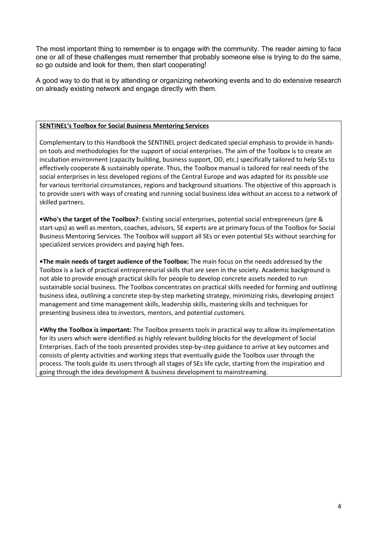The most important thing to remember is to engage with the community. The reader aiming to face one or all of these challenges must remember that probably someone else is trying to do the same, so go outside and look for them, then start cooperating!

A good way to do that is by attending or organizing networking events and to do extensive research on already existing network and engage directly with them.

#### **SENTINEL's Toolbox for Social Business Mentoring Services**

Complementary to this Handbook the SENTINEL project dedicated special emphasis to provide in handson tools and methodologies for the support of social enterprises. The aim of the Toolbox is to create an incubation environment (capacity building, business support, OD, etc.) specifically tailored to help SEs to effectively cooperate & sustainably operate. Thus, the Toolbox manual is tailored for real needs of the social enterprises in less developed regions of the Central Europe and was adapted for its possible use for various territorial circumstances, regions and background situations. The objective of this approach is to provide users with ways of creating and running social business idea without an access to a network of skilled partners.

**•Who's the target of the Toolbox?**: Existing social enterprises, potential social entrepreneurs (pre & start-ups) as well as mentors, coaches, advisors, SE experts are at primary focus of the Toolbox for Social Business Mentoring Services. The Toolbox will support all SEs or even potential SEs without searching for specialized services providers and paying high fees.

**•The main needs of target audience of the Toolbox:** The main focus on the needs addressed by the Toolbox is a lack of practical entrepreneurial skills that are seen in the society. Academic background is not able to provide enough practical skills for people to develop concrete assets needed to run sustainable social business. The Toolbox concentrates on practical skills needed for forming and outlining business idea, outlining a concrete step-by-step marketing strategy, minimizing risks, developing project management and time management skills, leadership skills, mastering skills and techniques for presenting business idea to investors, mentors, and potential customers.

**•Why the Toolbox is important:** The Toolbox presents tools in practical way to allow its implementation for its users which were identified as highly relevant building blocks for the development of Social Enterprises. Each of the tools presented provides step-by-step guidance to arrive at key outcomes and consists of plenty activities and working steps that eventually guide the Toolbox user through the process. The tools guide its users through all stages of SEs life cycle, starting from the inspiration and going through the idea development & business development to mainstreaming.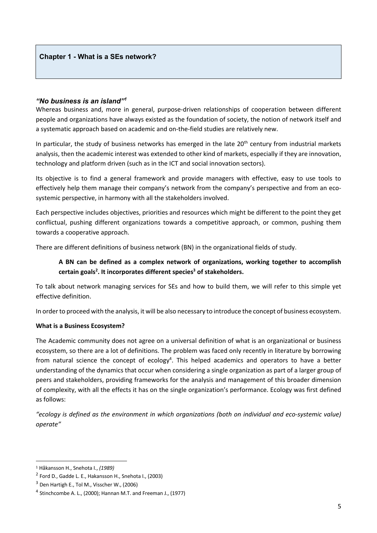#### *"No business is an island"<sup>1</sup>*

Whereas business and, more in general, purpose-driven relationships of cooperation between different people and organizations have always existed as the foundation of society, the notion of network itself and a systematic approach based on academic and on-the-field studies are relatively new.

In particular, the study of business networks has emerged in the late 20<sup>th</sup> century from industrial markets analysis, then the academic interest was extended to other kind of markets, especially if they are innovation, technology and platform driven (such as in the ICT and social innovation sectors).

Its objective is to find a general framework and provide managers with effective, easy to use tools to effectively help them manage their company's network from the company's perspective and from an ecosystemic perspective, in harmony with all the stakeholders involved.

Each perspective includes objectives, priorities and resources which might be different to the point they get conflictual, pushing different organizations towards a competitive approach, or common, pushing them towards a cooperative approach.

There are different definitions of business network (BN) in the organizational fields of study.

#### **A BN can be defined as a complex network of organizations, working together to accomplish certain goals2 . It incorporates different species3 of stakeholders.**

To talk about network managing services for SEs and how to build them, we will refer to this simple yet effective definition.

In order to proceed with the analysis, it will be also necessary to introduce the concept of business ecosystem.

#### **What is a Business Ecosystem?**

The Academic community does not agree on a universal definition of what is an organizational or business ecosystem, so there are a lot of definitions. The problem was faced only recently in literature by borrowing from natural science the concept of ecology<sup>4</sup>. This helped academics and operators to have a better understanding of the dynamics that occur when considering a single organization as part of a larger group of peers and stakeholders, providing frameworks for the analysis and management of this broader dimension of complexity, with all the effects it has on the single organization's performance. Ecology was first defined as follows:

*"ecology is defined as the environment in which organizations (both on individual and eco-systemic value) operate"* 

<sup>1</sup> Håkansson H., Snehota I., *(1989)*

<sup>2</sup> Ford D., Gadde L. E., Hakansson H., Snehota I., (2003)

<sup>3</sup> Den Hartigh E., Tol M., Visscher W., (2006)

 $4$  Stinchcombe A. L., (2000); Hannan M.T. and Freeman J., (1977)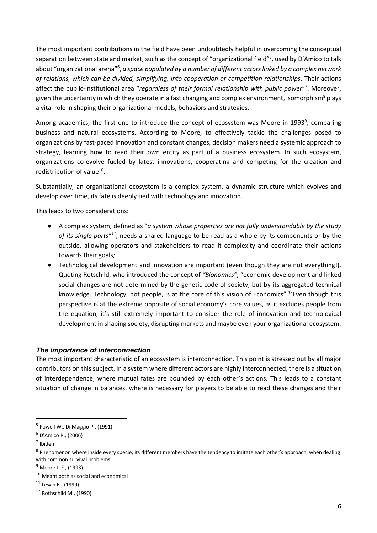The most important contributions in the field have been undoubtedly helpful in overcoming the conceptual separation between state and market, such as the concept of "organizational field"<sup>5</sup>, used by D'Amico to talk about "organizational arena"<sup>6</sup>, a space populated by a number of different actors linked by a complex network *of relations, which can be divided, simplifying, into cooperation or competition relationships*. Their actions affect the public-institutional area "*regardless of their formal relationship with public power*"7 . Moreover, given the uncertainty in which they operate in a fast changing and complex environment, isomorphism<sup>8</sup> plays a vital role in shaping their organizational models, behaviors and strategies.

Among academics, the first one to introduce the concept of ecosystem was Moore in 1993<sup>9</sup>, comparing business and natural ecosystems. According to Moore, to effectively tackle the challenges posed to organizations by fast-paced innovation and constant changes, decision makers need a systemic approach to strategy, learning how to read their own entity as part of a business ecosystem. In such ecosystem, organizations co-evolve fueled by latest innovations, cooperating and competing for the creation and redistribution of value $^{10}$ .

Substantially, an organizational ecosystem is a complex system, a dynamic structure which evolves and develop over time, its fate is deeply tied with technology and innovation.

This leads to two considerations:

- A complex system, defined as "*a system whose properties are not fully understandable by the study of its single parts"11*, needs a shared language to be read as a whole by its components or by the outside, allowing operators and stakeholders to read it complexity and coordinate their actions towards their goals*;*
- Technological development and innovation are important (even though they are not everything!). Quoting Rotschild, who introduced the concept of *"Bionomics"*, "economic development and linked social changes are not determined by the genetic code of society, but by its aggregated technical knowledge. Technology, not people, is at the core of this vision of Economics".*<sup>12</sup>*Even though this perspective is at the extreme opposite of social economy's core values, as it excludes people from the equation, it's still extremely important to consider the role of innovation and technological development in shaping society, disrupting markets and maybe even your organizational ecosystem.

#### *The importance of interconnection*

The most important characteristic of an ecosystem is interconnection. This point is stressed out by all major contributors on this subject. In a system where different actors are highly interconnected, there is a situation of interdependence, where mutual fates are bounded by each other's actions. This leads to a constant situation of change in balances, where is necessary for players to be able to read these changes and their

 $<sup>5</sup>$  Powell W., Di Maggio P., (1991)</sup>

<sup>6</sup> D'Amico R., (2006)

 $<sup>7</sup>$  Ibidem</sup>

<sup>&</sup>lt;sup>8</sup> Phenomenon where inside every specie, its different members have the tendency to imitate each other's approach, when dealing with common survival problems.

<sup>&</sup>lt;sup>9</sup> Moore J. F., (1993)

<sup>10</sup> Meant both as social and economical

<sup>11</sup> Lewin R., (1999)

 $12$  Rothschild M., (1990)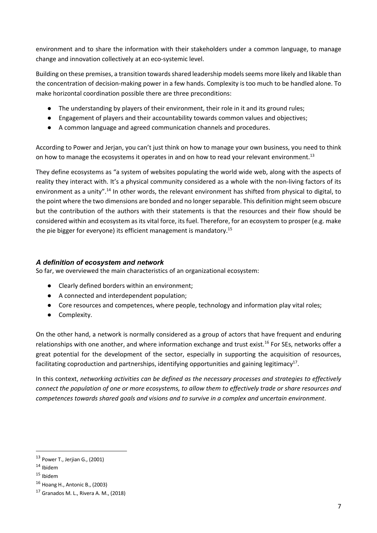environment and to share the information with their stakeholders under a common language, to manage change and innovation collectively at an eco-systemic level.

Building on these premises, a transition towards shared leadership models seems more likely and likable than the concentration of decision-making power in a few hands. Complexity is too much to be handled alone. To make horizontal coordination possible there are three preconditions:

- The understanding by players of their environment, their role in it and its ground rules;
- Engagement of players and their accountability towards common values and objectives;
- A common language and agreed communication channels and procedures.

According to Power and Jerjan, you can't just think on how to manage your own business, you need to think on how to manage the ecosystems it operates in and on how to read your relevant environment.<sup>13</sup>

They define ecosystems as "a system of websites populating the world wide web, along with the aspects of reality they interact with. It's a physical community considered as a whole with the non-living factors of its environment as a unity".14 In other words, the relevant environment has shifted from physical to digital, to the point where the two dimensions are bonded and no longer separable. This definition might seem obscure but the contribution of the authors with their statements is that the resources and their flow should be considered within and ecosystem as its vital force, its fuel. Therefore, for an ecosystem to prosper (e.g. make the pie bigger for everyone) its efficient management is mandatory.15

#### *A definition of ecosystem and network*

So far, we overviewed the main characteristics of an organizational ecosystem:

- Clearly defined borders within an environment;
- A connected and interdependent population;
- Core resources and competences, where people, technology and information play vital roles;
- Complexity.

On the other hand, a network is normally considered as a group of actors that have frequent and enduring relationships with one another, and where information exchange and trust exist.<sup>16</sup> For SEs, networks offer a great potential for the development of the sector, especially in supporting the acquisition of resources, facilitating coproduction and partnerships, identifying opportunities and gaining legitimacy<sup>17</sup>.

In this context, *networking activities can be defined as the necessary processes and strategies to effectively connect the population of one or more ecosystems, to allow them to effectively trade or share resources and competences towards shared goals and visions and to survive in a complex and uncertain environment*.

 $13$  Power T., Jerjian G., (2001)

<sup>14</sup> Ibidem

<sup>15</sup> Ibidem

<sup>16</sup> Hoang H., Antonic B., (2003)

 $17$  Granados M. L., Rivera A. M., (2018)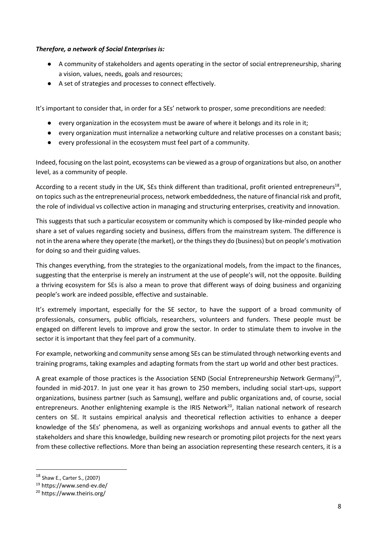#### *Therefore, a network of Social Enterprises is:*

- A community of stakeholders and agents operating in the sector of social entrepreneurship, sharing a vision, values, needs, goals and resources;
- A set of strategies and processes to connect effectively.

It's important to consider that, in order for a SEs' network to prosper, some preconditions are needed:

- every organization in the ecosystem must be aware of where it belongs and its role in it;
- every organization must internalize a networking culture and relative processes on a constant basis;
- every professional in the ecosystem must feel part of a community.

Indeed, focusing on the last point, ecosystems can be viewed as a group of organizations but also, on another level, as a community of people.

According to a recent study in the UK, SEs think different than traditional, profit oriented entrepreneurs<sup>18</sup>, on topics such as the entrepreneurial process, network embeddedness, the nature of financial risk and profit, the role of individual vs collective action in managing and structuring enterprises, creativity and innovation.

This suggests that such a particular ecosystem or community which is composed by like-minded people who share a set of values regarding society and business, differs from the mainstream system. The difference is not in the arena where they operate (the market), or the things they do (business) but on people's motivation for doing so and their guiding values.

This changes everything, from the strategies to the organizational models, from the impact to the finances, suggesting that the enterprise is merely an instrument at the use of people's will, not the opposite. Building a thriving ecosystem for SEs is also a mean to prove that different ways of doing business and organizing people's work are indeed possible, effective and sustainable.

It's extremely important, especially for the SE sector, to have the support of a broad community of professionals, consumers, public officials, researchers, volunteers and funders. These people must be engaged on different levels to improve and grow the sector. In order to stimulate them to involve in the sector it is important that they feel part of a community.

For example, networking and community sense among SEs can be stimulated through networking events and training programs, taking examples and adapting formats from the start up world and other best practices.

A great example of those practices is the Association SEND (Social Entrepreneurship Network Germany)<sup>19</sup>, founded in mid-2017. In just one year it has grown to 250 members, including social start-ups, support organizations, business partner (such as Samsung), welfare and public organizations and, of course, social entrepreneurs. Another enlightening example is the IRIS Network<sup>20</sup>, Italian national network of research centers on SE. It sustains empirical analysis and theoretical reflection activities to enhance a deeper knowledge of the SEs' phenomena, as well as organizing workshops and annual events to gather all the stakeholders and share this knowledge, building new research or promoting pilot projects for the next years from these collective reflections. More than being an association representing these research centers, it is a

<sup>18</sup> Shaw E., Carter S., (2007)

<sup>19</sup> https://www.send-ev.de/

<sup>20</sup> https://www.theiris.org/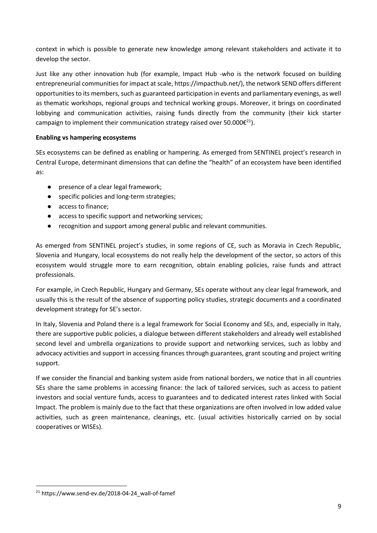context in which is possible to generate new knowledge among relevant stakeholders and activate it to develop the sector.

Just like any other innovation hub (for example, Impact Hub -who is the network focused on building entrepreneurial communities for impact at scale, https://impacthub.net/), the network SEND offers different opportunities to its members, such as guaranteed participation in events and parliamentary evenings, as well as thematic workshops, regional groups and technical working groups. Moreover, it brings on coordinated lobbying and communication activities, raising funds directly from the community (their kick starter campaign to implement their communication strategy raised over 50.000 $\varepsilon^{21}$ ).

#### **Enabling vs hampering ecosystems**

SEs ecosystems can be defined as enabling or hampering. As emerged from SENTINEL project's research in Central Europe, determinant dimensions that can define the "health" of an ecosystem have been identified as:

- presence of a clear legal framework;
- specific policies and long-term strategies;
- access to finance;
- access to specific support and networking services;
- recognition and support among general public and relevant communities.

As emerged from SENTINEL project's studies, in some regions of CE, such as Moravia in Czech Republic, Slovenia and Hungary, local ecosystems do not really help the development of the sector, so actors of this ecosystem would struggle more to earn recognition, obtain enabling policies, raise funds and attract professionals.

For example, in Czech Republic, Hungary and Germany, SEs operate without any clear legal framework, and usually this is the result of the absence of supporting policy studies, strategic documents and a coordinated development strategy for SE's sector.

In Italy, Slovenia and Poland there is a legal framework for Social Economy and SEs, and, especially in Italy, there are supportive public policies, a dialogue between different stakeholders and already well established second level and umbrella organizations to provide support and networking services, such as lobby and advocacy activities and support in accessing finances through guarantees, grant scouting and project writing support.

If we consider the financial and banking system aside from national borders, we notice that in all countries SEs share the same problems in accessing finance: the lack of tailored services, such as access to patient investors and social venture funds, access to guarantees and to dedicated interest rates linked with Social Impact. The problem is mainly due to the fact that these organizations are often involved in low added value activities, such as green maintenance, cleanings, etc. (usual activities historically carried on by social cooperatives or WISEs).

<sup>21</sup> https://www.send-ev.de/2018-04-24\_wall-of-famef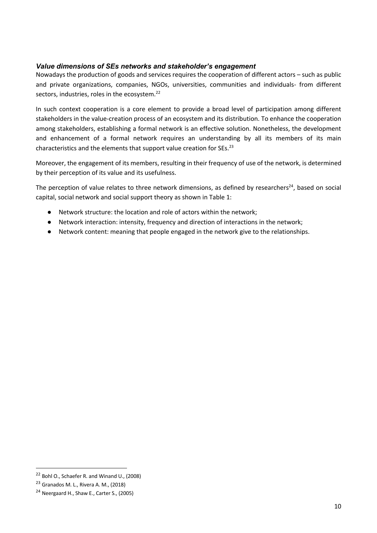#### *Value dimensions of SEs networks and stakeholder's engagement*

Nowadays the production of goods and services requires the cooperation of different actors – such as public and private organizations, companies, NGOs, universities, communities and individuals- from different sectors, industries, roles in the ecosystem.<sup>22</sup>

In such context cooperation is a core element to provide a broad level of participation among different stakeholders in the value-creation process of an ecosystem and its distribution. To enhance the cooperation among stakeholders, establishing a formal network is an effective solution. Nonetheless, the development and enhancement of a formal network requires an understanding by all its members of its main characteristics and the elements that support value creation for SEs.<sup>23</sup>

Moreover, the engagement of its members, resulting in their frequency of use of the network, is determined by their perception of its value and its usefulness.

The perception of value relates to three network dimensions, as defined by researchers<sup>24</sup>, based on social capital, social network and social support theory as shown in Table 1:

- Network structure: the location and role of actors within the network;
- Network interaction: intensity, frequency and direction of interactions in the network;
- Network content: meaning that people engaged in the network give to the relationships.

<sup>22</sup> Bohl O., Schaefer R. and Winand U., (2008)

<sup>23</sup> Granados M. L., Rivera A. M., (2018)

<sup>&</sup>lt;sup>24</sup> Neergaard H., Shaw E., Carter S., (2005)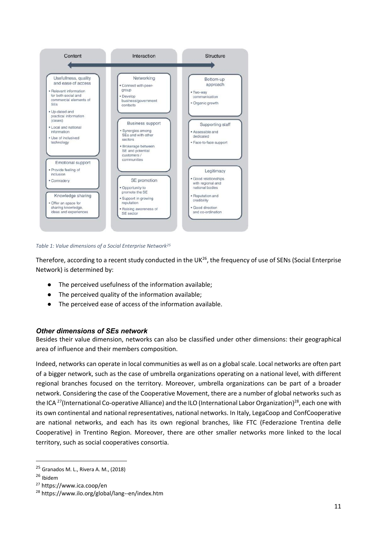

*Table 1: Value dimensions of a Social Enterprise Network25*

Therefore, according to a recent study conducted in the UK<sup>26</sup>, the frequency of use of SENs (Social Enterprise Network) is determined by:

- The perceived usefulness of the information available;
- The perceived quality of the information available;
- The perceived ease of access of the information available.

#### *Other dimensions of SEs network*

Besides their value dimension, networks can also be classified under other dimensions: their geographical area of influence and their members composition.

Indeed, networks can operate in local communities as well as on a global scale. Local networks are often part of a bigger network, such as the case of umbrella organizations operating on a national level, with different regional branches focused on the territory. Moreover, umbrella organizations can be part of a broader network. Considering the case of the Cooperative Movement, there are a number of global networks such as the ICA <sup>27</sup>(International Co-operative Alliance) and the ILO (International Labor Organization)<sup>28</sup>, each one with its own continental and national representatives, national networks. In Italy, LegaCoop and ConfCooperative are national networks, and each has its own regional branches, like FTC (Federazione Trentina delle Cooperative) in Trentino Region. Moreover, there are other smaller networks more linked to the local territory, such as social cooperatives consortia.

<sup>25</sup> Granados M. L., Rivera A. M., (2018)

<sup>26</sup> Ibidem

<sup>27</sup> https://www.ica.coop/en

<sup>28</sup> https://www.ilo.org/global/lang--en/index.htm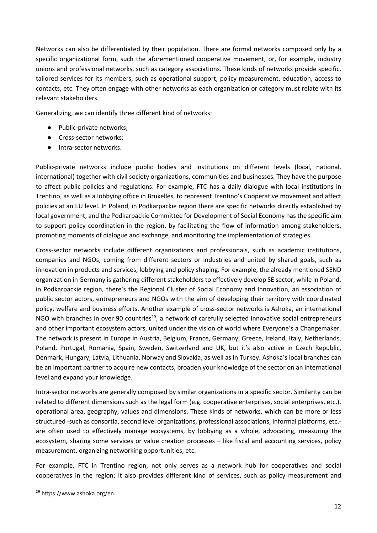Networks can also be differentiated by their population. There are formal networks composed only by a specific organizational form, such the aforementioned cooperative movement, or, for example, industry unions and professional networks, such as category associations. These kinds of networks provide specific, tailored services for its members, such as operational support, policy measurement, education, access to contacts, etc. They often engage with other networks as each organization or category must relate with its relevant stakeholders.

Generalizing, we can identify three different kind of networks:

- Public-private networks;
- Cross-sector networks;
- Intra-sector networks.

Public-private networks include public bodies and institutions on different levels (local, national, international) together with civil society organizations, communities and businesses. They have the purpose to affect public policies and regulations. For example, FTC has a daily dialogue with local institutions in Trentino, as well as a lobbying office in Bruxelles, to represent Trentino's Cooperative movement and affect policies at an EU level. In Poland, in Podkarpackie region there are specific networks directly established by local government, and the Podkarpackie Committee for Development of Social Economy has the specific aim to support policy coordination in the region, by facilitating the flow of information among stakeholders, promoting moments of dialogue and exchange, and monitoring the implementation of strategies.

Cross-sector networks include different organizations and professionals, such as academic institutions, companies and NGOs, coming from different sectors or industries and united by shared goals, such as innovation in products and services, lobbying and policy shaping. For example, the already mentioned SEND organization in Germany is gathering different stakeholders to effectively develop SE sector, while in Poland, in Podkarpackie region, there's the Regional Cluster of Social Economy and Innovation, an association of public sector actors, entrepreneurs and NGOs with the aim of developing their territory with coordinated policy, welfare and business efforts. Another example of cross-sector networks is Ashoka, an international NGO with branches in over 90 countries<sup>29</sup>, a network of carefully selected innovative social entrepreneurs and other important ecosystem actors, united under the vision of world where Everyone's a Changemaker. The network is present in Europe in Austria, Belgium, France, Germany, Greece, Ireland, Italy, Netherlands, Poland, Portugal, Romania, Spain, Sweden, Switzerland and UK, but it's also active in Czech Republic, Denmark, Hungary, Latvia, Lithuania, Norway and Slovakia, as well as in Turkey. Ashoka's local branches can be an important partner to acquire new contacts, broaden your knowledge of the sector on an international level and expand your knowledge.

Intra-sector networks are generally composed by similar organizations in a specific sector. Similarity can be related to different dimensions such as the legal form (e.g. cooperative enterprises, social enterprises, etc.), operational area, geography, values and dimensions. These kinds of networks, which can be more or less structured -such as consortia, second level organizations, professional associations, informal platforms, etc. are often used to effectively manage ecosystems, by lobbying as a whole, advocating, measuring the ecosystem, sharing some services or value creation processes – like fiscal and accounting services, policy measurement, organizing networking opportunities, etc.

For example, FTC in Trentino region, not only serves as a network hub for cooperatives and social cooperatives in the region; it also provides different kind of services, such as policy measurement and

<sup>29</sup> https://www.ashoka.org/en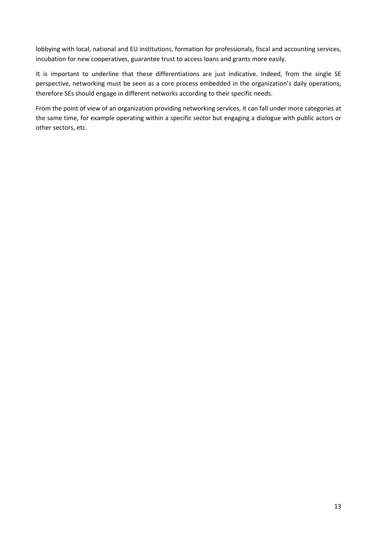lobbying with local, national and EU institutions, formation for professionals, fiscal and accounting services, incubation for new cooperatives, guarantee trust to access loans and grants more easily.

It is important to underline that these differentiations are just indicative. Indeed, from the single SE perspective, networking must be seen as a core process embedded in the organization's daily operations, therefore SEs should engage in different networks according to their specific needs.

From the point of view of an organization providing networking services, it can fall under more categories at the same time, for example operating within a specific sector but engaging a dialogue with public actors or other sectors, etc.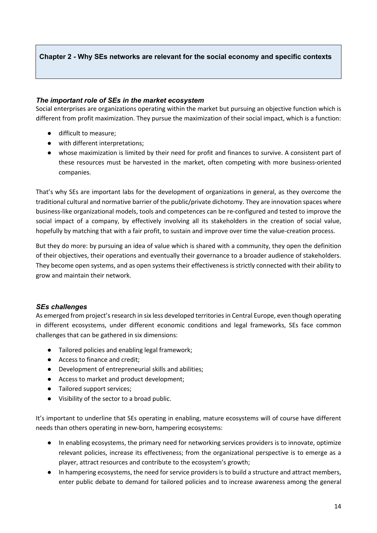#### **Chapter 2 - Why SEs networks are relevant for the social economy and specific contexts**

#### *The important role of SEs in the market ecosystem*

Social enterprises are organizations operating within the market but pursuing an objective function which is different from profit maximization. They pursue the maximization of their social impact, which is a function:

- difficult to measure;
- with different interpretations;
- whose maximization is limited by their need for profit and finances to survive. A consistent part of these resources must be harvested in the market, often competing with more business-oriented companies.

That's why SEs are important labs for the development of organizations in general, as they overcome the traditional cultural and normative barrier of the public/private dichotomy. They are innovation spaces where business-like organizational models, tools and competences can be re-configured and tested to improve the social impact of a company, by effectively involving all its stakeholders in the creation of social value, hopefully by matching that with a fair profit, to sustain and improve over time the value-creation process.

But they do more: by pursuing an idea of value which is shared with a community, they open the definition of their objectives, their operations and eventually their governance to a broader audience of stakeholders. They become open systems, and as open systems their effectiveness is strictly connected with their ability to grow and maintain their network.

#### *SEs challenges*

As emerged from project's research in six less developed territories in Central Europe, even though operating in different ecosystems, under different economic conditions and legal frameworks, SEs face common challenges that can be gathered in six dimensions:

- Tailored policies and enabling legal framework;
- Access to finance and credit;
- Development of entrepreneurial skills and abilities;
- Access to market and product development;
- Tailored support services;
- Visibility of the sector to a broad public.

It's important to underline that SEs operating in enabling, mature ecosystems will of course have different needs than others operating in new-born, hampering ecosystems:

- In enabling ecosystems, the primary need for networking services providers is to innovate, optimize relevant policies, increase its effectiveness; from the organizational perspective is to emerge as a player, attract resources and contribute to the ecosystem's growth;
- In hampering ecosystems, the need for service providers is to build a structure and attract members, enter public debate to demand for tailored policies and to increase awareness among the general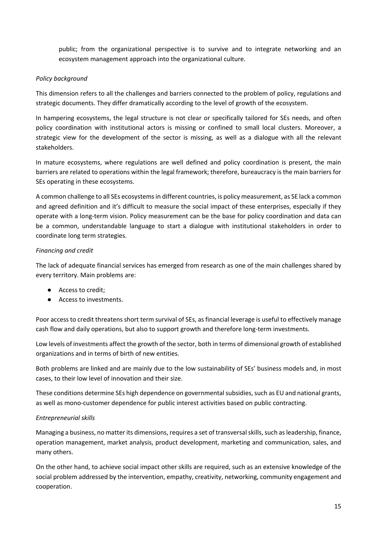public; from the organizational perspective is to survive and to integrate networking and an ecosystem management approach into the organizational culture.

#### *Policy background*

This dimension refers to all the challenges and barriers connected to the problem of policy, regulations and strategic documents. They differ dramatically according to the level of growth of the ecosystem.

In hampering ecosystems, the legal structure is not clear or specifically tailored for SEs needs, and often policy coordination with institutional actors is missing or confined to small local clusters. Moreover, a strategic view for the development of the sector is missing, as well as a dialogue with all the relevant stakeholders.

In mature ecosystems, where regulations are well defined and policy coordination is present, the main barriers are related to operations within the legal framework; therefore, bureaucracy is the main barriers for SEs operating in these ecosystems.

A common challenge to all SEs ecosystems in different countries, is policy measurement, as SE lack a common and agreed definition and it's difficult to measure the social impact of these enterprises, especially if they operate with a long-term vision. Policy measurement can be the base for policy coordination and data can be a common, understandable language to start a dialogue with institutional stakeholders in order to coordinate long term strategies.

#### *Financing and credit*

The lack of adequate financial services has emerged from research as one of the main challenges shared by every territory. Main problems are:

- Access to credit;
- Access to investments.

Poor access to credit threatens short term survival of SEs, as financial leverage is useful to effectively manage cash flow and daily operations, but also to support growth and therefore long-term investments.

Low levels of investments affect the growth of the sector, both in terms of dimensional growth of established organizations and in terms of birth of new entities.

Both problems are linked and are mainly due to the low sustainability of SEs' business models and, in most cases, to their low level of innovation and their size.

These conditions determine SEs high dependence on governmental subsidies, such as EU and national grants, as well as mono-customer dependence for public interest activities based on public contracting.

#### *Entrepreneurial skills*

Managing a business, no matter its dimensions, requires a set of transversal skills, such as leadership, finance, operation management, market analysis, product development, marketing and communication, sales, and many others.

On the other hand, to achieve social impact other skills are required, such as an extensive knowledge of the social problem addressed by the intervention, empathy, creativity, networking, community engagement and cooperation.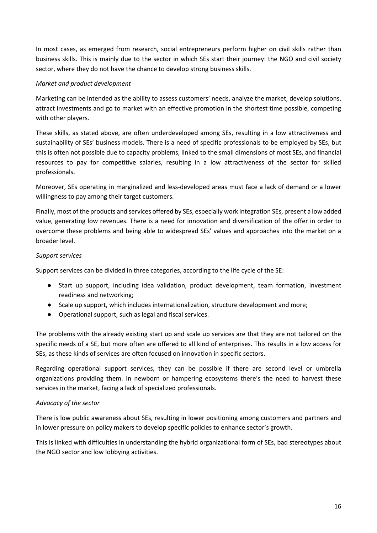In most cases, as emerged from research, social entrepreneurs perform higher on civil skills rather than business skills. This is mainly due to the sector in which SEs start their journey: the NGO and civil society sector, where they do not have the chance to develop strong business skills.

#### *Market and product development*

Marketing can be intended as the ability to assess customers' needs, analyze the market, develop solutions, attract investments and go to market with an effective promotion in the shortest time possible, competing with other players.

These skills, as stated above, are often underdeveloped among SEs, resulting in a low attractiveness and sustainability of SEs' business models. There is a need of specific professionals to be employed by SEs, but this is often not possible due to capacity problems, linked to the small dimensions of most SEs, and financial resources to pay for competitive salaries, resulting in a low attractiveness of the sector for skilled professionals.

Moreover, SEs operating in marginalized and less-developed areas must face a lack of demand or a lower willingness to pay among their target customers.

Finally, most of the products and services offered by SEs, especially work integration SEs, present a low added value, generating low revenues. There is a need for innovation and diversification of the offer in order to overcome these problems and being able to widespread SEs' values and approaches into the market on a broader level.

#### *Support services*

Support services can be divided in three categories, according to the life cycle of the SE:

- Start up support, including idea validation, product development, team formation, investment readiness and networking;
- Scale up support, which includes internationalization, structure development and more;
- Operational support, such as legal and fiscal services.

The problems with the already existing start up and scale up services are that they are not tailored on the specific needs of a SE, but more often are offered to all kind of enterprises. This results in a low access for SEs, as these kinds of services are often focused on innovation in specific sectors.

Regarding operational support services, they can be possible if there are second level or umbrella organizations providing them. In newborn or hampering ecosystems there's the need to harvest these services in the market, facing a lack of specialized professionals.

#### *Advocacy of the sector*

There is low public awareness about SEs, resulting in lower positioning among customers and partners and in lower pressure on policy makers to develop specific policies to enhance sector's growth.

This is linked with difficulties in understanding the hybrid organizational form of SEs, bad stereotypes about the NGO sector and low lobbying activities.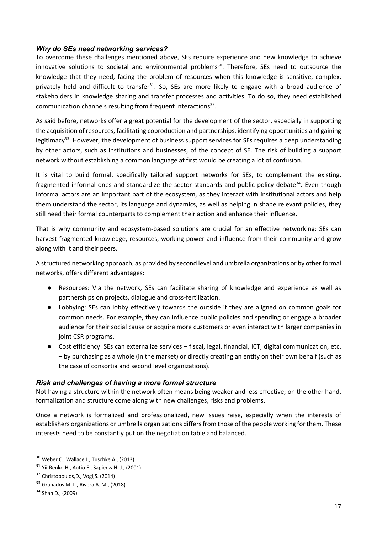#### *Why do SEs need networking services?*

To overcome these challenges mentioned above, SEs require experience and new knowledge to achieve innovative solutions to societal and environmental problems<sup>30</sup>. Therefore, SEs need to outsource the knowledge that they need, facing the problem of resources when this knowledge is sensitive, complex, privately held and difficult to transfer<sup>31</sup>. So, SEs are more likely to engage with a broad audience of stakeholders in knowledge sharing and transfer processes and activities. To do so, they need established communication channels resulting from frequent interactions<sup>32</sup>.

As said before, networks offer a great potential for the development of the sector, especially in supporting the acquisition of resources, facilitating coproduction and partnerships, identifying opportunities and gaining legitimacy<sup>33</sup>. However, the development of business support services for SEs requires a deep understanding by other actors, such as institutions and businesses, of the concept of SE. The risk of building a support network without establishing a common language at first would be creating a lot of confusion.

It is vital to build formal, specifically tailored support networks for SEs, to complement the existing, fragmented informal ones and standardize the sector standards and public policy debate<sup>34</sup>. Even though informal actors are an important part of the ecosystem, as they interact with institutional actors and help them understand the sector, its language and dynamics, as well as helping in shape relevant policies, they still need their formal counterparts to complement their action and enhance their influence.

That is why community and ecosystem-based solutions are crucial for an effective networking: SEs can harvest fragmented knowledge, resources, working power and influence from their community and grow along with it and their peers.

A structured networking approach, as provided by second level and umbrella organizations or by other formal networks, offers different advantages:

- Resources: Via the network, SEs can facilitate sharing of knowledge and experience as well as partnerships on projects, dialogue and cross-fertilization.
- Lobbying: SEs can lobby effectively towards the outside if they are aligned on common goals for common needs. For example, they can influence public policies and spending or engage a broader audience for their social cause or acquire more customers or even interact with larger companies in joint CSR programs.
- Cost efficiency: SEs can externalize services fiscal, legal, financial, ICT, digital communication, etc. – by purchasing as a whole (in the market) or directly creating an entity on their own behalf (such as the case of consortia and second level organizations).

#### *Risk and challenges of having a more formal structure*

Not having a structure within the network often means being weaker and less effective; on the other hand, formalization and structure come along with new challenges, risks and problems.

Once a network is formalized and professionalized, new issues raise, especially when the interests of establishers organizations or umbrella organizations differs from those of the people working for them. These interests need to be constantly put on the negotiation table and balanced.

<sup>30</sup> Weber C., Wallace J., Tuschke A., (2013)

<sup>&</sup>lt;sup>31</sup> Yii-Renko H., Autio E., SapienzaH. J., (2001)

<sup>32</sup> Christopoulos,D., Vogl,S. (2014)

<sup>33</sup> Granados M. L., Rivera A. M., (2018)

<sup>34</sup> Shah D., (2009)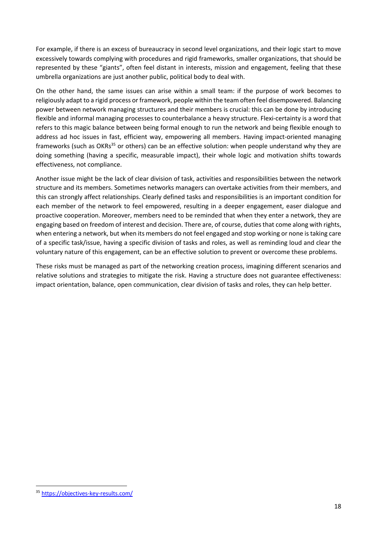For example, if there is an excess of bureaucracy in second level organizations, and their logic start to move excessively towards complying with procedures and rigid frameworks, smaller organizations, that should be represented by these "giants", often feel distant in interests, mission and engagement, feeling that these umbrella organizations are just another public, political body to deal with.

On the other hand, the same issues can arise within a small team: if the purpose of work becomes to religiously adapt to a rigid process or framework, people within the team often feel disempowered. Balancing power between network managing structures and their members is crucial: this can be done by introducing flexible and informal managing processes to counterbalance a heavy structure. Flexi-certainty is a word that refers to this magic balance between being formal enough to run the network and being flexible enough to address ad hoc issues in fast, efficient way, empowering all members. Having impact-oriented managing frameworks (such as OKRs<sup>35</sup> or others) can be an effective solution: when people understand why they are doing something (having a specific, measurable impact), their whole logic and motivation shifts towards effectiveness, not compliance.

Another issue might be the lack of clear division of task, activities and responsibilities between the network structure and its members. Sometimes networks managers can overtake activities from their members, and this can strongly affect relationships. Clearly defined tasks and responsibilities is an important condition for each member of the network to feel empowered, resulting in a deeper engagement, easer dialogue and proactive cooperation. Moreover, members need to be reminded that when they enter a network, they are engaging based on freedom of interest and decision. There are, of course, duties that come along with rights, when entering a network, but when its members do not feel engaged and stop working or none is taking care of a specific task/issue, having a specific division of tasks and roles, as well as reminding loud and clear the voluntary nature of this engagement, can be an effective solution to prevent or overcome these problems.

These risks must be managed as part of the networking creation process, imagining different scenarios and relative solutions and strategies to mitigate the risk. Having a structure does not guarantee effectiveness: impact orientation, balance, open communication, clear division of tasks and roles, they can help better.

<sup>35</sup> https://objectives-key-results.com/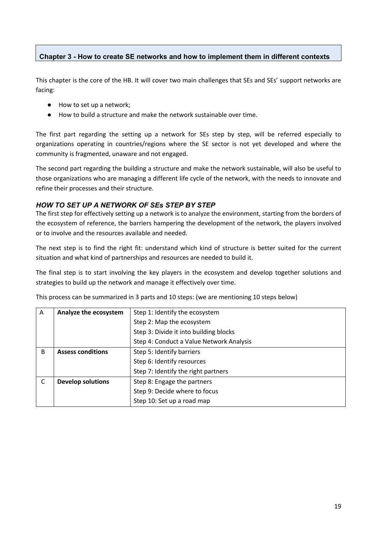#### **Chapter 3 - How to create SE networks and how to implement them in different contexts**

This chapter is the core of the HB. It will cover two main challenges that SEs and SEs' support networks are facing:

- How to set up a network;
- How to build a structure and make the network sustainable over time.

The first part regarding the setting up a network for SEs step by step, will be referred especially to organizations operating in countries/regions where the SE sector is not yet developed and where the community is fragmented, unaware and not engaged.

The second part regarding the building a structure and make the network sustainable, will also be useful to those organizations who are managing a different life cycle of the network, with the needs to innovate and refine their processes and their structure.

#### *HOW TO SET UP A NETWORK OF SEs STEP BY STEP*

The first step for effectively setting up a network is to analyze the environment, starting from the borders of the ecosystem of reference, the barriers hampering the development of the network, the players involved or to involve and the resources available and needed.

The next step is to find the right fit: understand which kind of structure is better suited for the current situation and what kind of partnerships and resources are needed to build it.

The final step is to start involving the key players in the ecosystem and develop together solutions and strategies to build up the network and manage it effectively over time.

| A  | Analyze the ecosystem    | Step 1: Identify the ecosystem           |  |  |  |  |  |  |
|----|--------------------------|------------------------------------------|--|--|--|--|--|--|
|    |                          | Step 2: Map the ecosystem                |  |  |  |  |  |  |
|    |                          | Step 3: Divide it into building blocks   |  |  |  |  |  |  |
|    |                          | Step 4: Conduct a Value Network Analysis |  |  |  |  |  |  |
| B. | <b>Assess conditions</b> | Step 5: Identify barriers                |  |  |  |  |  |  |
|    |                          | Step 6: Identify resources               |  |  |  |  |  |  |
|    |                          | Step 7: Identify the right partners      |  |  |  |  |  |  |
| C  | <b>Develop solutions</b> | Step 8: Engage the partners              |  |  |  |  |  |  |
|    |                          | Step 9: Decide where to focus            |  |  |  |  |  |  |
|    |                          | Step 10: Set up a road map               |  |  |  |  |  |  |

This process can be summarized in 3 parts and 10 steps: (we are mentioning 10 steps below)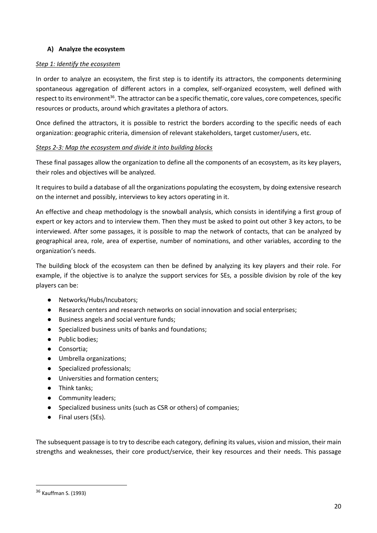#### **A) Analyze the ecosystem**

#### *Step 1: Identify the ecosystem*

In order to analyze an ecosystem, the first step is to identify its attractors, the components determining spontaneous aggregation of different actors in a complex, self-organized ecosystem, well defined with respect to its environment<sup>36</sup>. The attractor can be a specific thematic, core values, core competences, specific resources or products, around which gravitates a plethora of actors.

Once defined the attractors, it is possible to restrict the borders according to the specific needs of each organization: geographic criteria, dimension of relevant stakeholders, target customer/users, etc.

#### *Steps 2-3: Map the ecosystem and divide it into building blocks*

These final passages allow the organization to define all the components of an ecosystem, as its key players, their roles and objectives will be analyzed.

It requires to build a database of all the organizations populating the ecosystem, by doing extensive research on the internet and possibly, interviews to key actors operating in it.

An effective and cheap methodology is the snowball analysis, which consists in identifying a first group of expert or key actors and to interview them. Then they must be asked to point out other 3 key actors, to be interviewed. After some passages, it is possible to map the network of contacts, that can be analyzed by geographical area, role, area of expertise, number of nominations, and other variables, according to the organization's needs.

The building block of the ecosystem can then be defined by analyzing its key players and their role. For example, if the objective is to analyze the support services for SEs, a possible division by role of the key players can be:

- Networks/Hubs/Incubators;
- Research centers and research networks on social innovation and social enterprises;
- Business angels and social venture funds;
- Specialized business units of banks and foundations;
- Public bodies;
- Consortia;
- Umbrella organizations;
- Specialized professionals;
- Universities and formation centers;
- Think tanks;
- Community leaders;
- Specialized business units (such as CSR or others) of companies;
- Final users (SEs).

The subsequent passage is to try to describe each category, defining its values, vision and mission, their main strengths and weaknesses, their core product/service, their key resources and their needs. This passage

<sup>36</sup> Kauffman S. (1993)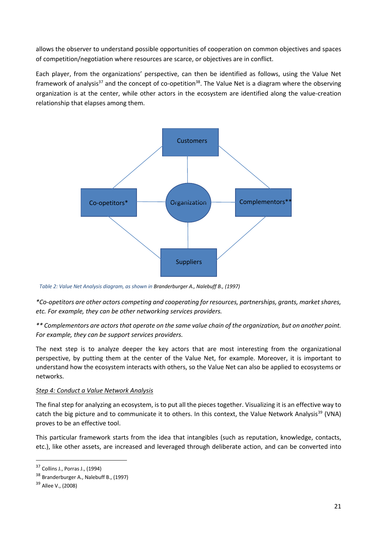allows the observer to understand possible opportunities of cooperation on common objectives and spaces of competition/negotiation where resources are scarce, or objectives are in conflict.

Each player, from the organizations' perspective, can then be identified as follows, using the Value Net framework of analysis<sup>37</sup> and the concept of co-opetition<sup>38</sup>. The Value Net is a diagram where the observing organization is at the center, while other actors in the ecosystem are identified along the value-creation relationship that elapses among them.



*Table 2: Value Net Analysis diagram, as shown in Branderburger A., Nalebuff B., (1997)*

*\*Co-opetitors are other actors competing and cooperating for resources, partnerships, grants, market shares, etc. For example, they can be other networking services providers.*

*\*\* Complementors are actors that operate on the same value chain of the organization, but on another point. For example, they can be support services providers.*

The next step is to analyze deeper the key actors that are most interesting from the organizational perspective, by putting them at the center of the Value Net, for example. Moreover, it is important to understand how the ecosystem interacts with others, so the Value Net can also be applied to ecosystems or networks.

#### *Step 4: Conduct a Value Network Analysis*

The final step for analyzing an ecosystem, is to put all the pieces together. Visualizing it is an effective way to catch the big picture and to communicate it to others. In this context, the Value Network Analysis<sup>39</sup> (VNA) proves to be an effective tool.

This particular framework starts from the idea that intangibles (such as reputation, knowledge, contacts, etc.), like other assets, are increased and leveraged through deliberate action, and can be converted into

<sup>37</sup> Collins J., Porras J., (1994)

<sup>38</sup> Branderburger A., Nalebuff B., (1997)

<sup>&</sup>lt;sup>39</sup> Allee V., (2008)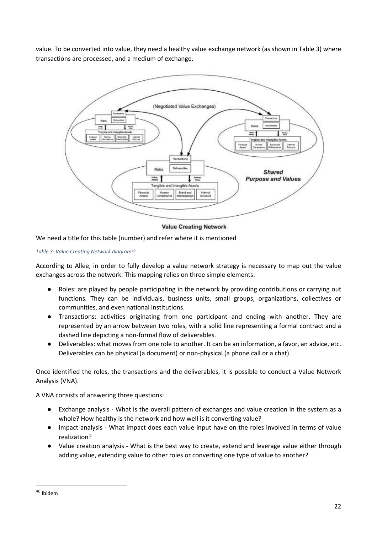value. To be converted into value, they need a healthy value exchange network (as shown in Table 3) where transactions are processed, and a medium of exchange.



**Value Creating Network** 

We need a title for this table (number) and refer where it is mentioned

*Table 3: Value Creating Network diagram40*

According to Allee, in order to fully develop a value network strategy is necessary to map out the value exchanges across the network. This mapping relies on three simple elements:

- Roles: are played by people participating in the network by providing contributions or carrying out functions. They can be individuals, business units, small groups, organizations, collectives or communities, and even national institutions.
- Transactions: activities originating from one participant and ending with another. They are represented by an arrow between two roles, with a solid line representing a formal contract and a dashed line depicting a non-formal flow of deliverables.
- Deliverables: what moves from one role to another. It can be an information, a favor, an advice, etc. Deliverables can be physical (a document) or non-physical (a phone call or a chat).

Once identified the roles, the transactions and the deliverables, it is possible to conduct a Value Network Analysis (VNA).

A VNA consists of answering three questions:

- Exchange analysis What is the overall pattern of exchanges and value creation in the system as a whole? How healthy is the network and how well is it converting value?
- Impact analysis What impact does each value input have on the roles involved in terms of value realization?
- Value creation analysis What is the best way to create, extend and leverage value either through adding value, extending value to other roles or converting one type of value to another?

<sup>40</sup> Ibidem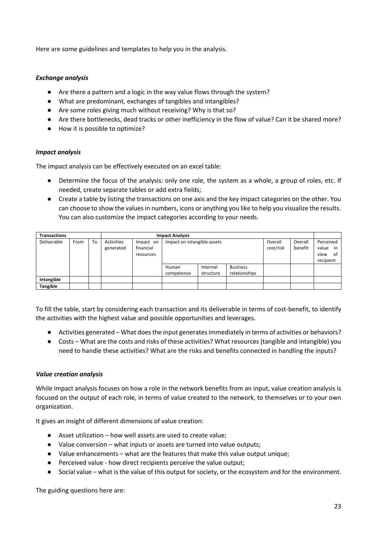Here are some guidelines and templates to help you in the analysis.

#### *Exchange analysis*

- Are there a pattern and a logic in the way value flows through the system?
- What are predominant, exchanges of tangibles and intangibles?
- Are some roles giving much without receiving? Why is that so?
- Are there bottlenecks, dead tracks or other inefficiency in the flow of value? Can it be shared more?
- How it is possible to optimize?

#### *Impact analysis*

The impact analysis can be effectively executed on an excel table:

- Determine the focus of the analysis: only one role, the system as a whole, a group of roles, etc. If needed, create separate tables or add extra fields;
- Create a table by listing the transactions on one axis and the key impact categories on the other. You can choose to show the values in numbers, icons or anything you like to help you visualize the results. You can also customize the impact categories according to your needs.

| <b>Transactions</b> |      |    | <b>Impact Analysis</b>  |                                     |                             |                       |                                  |                      |                    |                                                     |
|---------------------|------|----|-------------------------|-------------------------------------|-----------------------------|-----------------------|----------------------------------|----------------------|--------------------|-----------------------------------------------------|
| Deliverable         | From | To | Activities<br>generated | Impact on<br>financial<br>resources | Impact on intangible assets |                       |                                  | Overall<br>cost/risk | Overall<br>benefit | Perceived<br>value<br>in<br>view<br>of<br>recipient |
|                     |      |    |                         |                                     | Human<br>competence         | Internal<br>structure | <b>Business</b><br>relationships |                      |                    |                                                     |
| Intangible          |      |    |                         |                                     |                             |                       |                                  |                      |                    |                                                     |
| <b>Tangible</b>     |      |    |                         |                                     |                             |                       |                                  |                      |                    |                                                     |

To fill the table, start by considering each transaction and its deliverable in terms of cost-benefit, to identify the activities with the highest value and possible opportunities and leverages.

- Activities generated What does the input generates immediately in terms of activities or behaviors?
- Costs What are the costs and risks of these activities? What resources (tangible and intangible) you need to handle these activities? What are the risks and benefits connected in handling the inputs?

#### *Value creation analysis*

While impact analysis focuses on how a role in the network benefits from an input, value creation analysis is focused on the output of each role, in terms of value created to the network, to themselves or to your own organization.

It gives an insight of different dimensions of value creation:

- Asset utilization how well assets are used to create value;
- Value conversion what inputs or assets are turned into value outputs;
- Value enhancements what are the features that make this value output unique;
- Perceived value how direct recipients perceive the value output;
- Social value what is the value of this output for society, or the ecosystem and for the environment.

The guiding questions here are: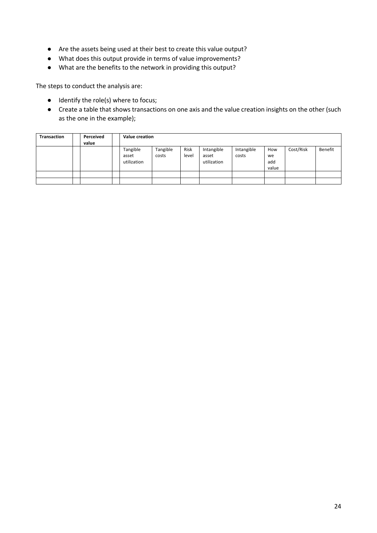- Are the assets being used at their best to create this value output?
- What does this output provide in terms of value improvements?
- What are the benefits to the network in providing this output?

The steps to conduct the analysis are:

- Identify the role(s) where to focus;
- Create a table that shows transactions on one axis and the value creation insights on the other (such as the one in the example);

| <b>Transaction</b> | Perceived<br>value | <b>Value creation</b>            |                   |               |                                    |                     |                           |           |         |
|--------------------|--------------------|----------------------------------|-------------------|---------------|------------------------------------|---------------------|---------------------------|-----------|---------|
|                    |                    | Tangible<br>asset<br>utilization | Tangible<br>costs | Risk<br>level | Intangible<br>asset<br>utilization | Intangible<br>costs | How<br>we<br>add<br>value | Cost/Risk | Benefit |
|                    |                    |                                  |                   |               |                                    |                     |                           |           |         |
|                    |                    |                                  |                   |               |                                    |                     |                           |           |         |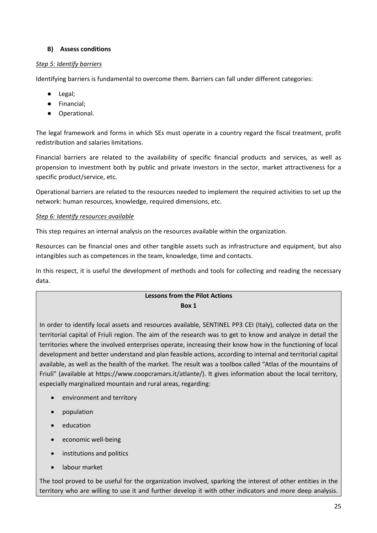#### **B) Assess conditions**

#### *Step 5: Identify barriers*

Identifying barriers is fundamental to overcome them. Barriers can fall under different categories:

- Legal;
- Financial;
- Operational.

The legal framework and forms in which SEs must operate in a country regard the fiscal treatment, profit redistribution and salaries limitations.

Financial barriers are related to the availability of specific financial products and services, as well as propension to investment both by public and private investors in the sector, market attractiveness for a specific product/service, etc.

Operational barriers are related to the resources needed to implement the required activities to set up the network: human resources, knowledge, required dimensions, etc.

#### *Step 6: Identify resources available*

This step requires an internal analysis on the resources available within the organization.

Resources can be financial ones and other tangible assets such as infrastructure and equipment, but also intangibles such as competences in the team, knowledge, time and contacts.

In this respect, it is useful the development of methods and tools for collecting and reading the necessary data.

#### **Lessons from the Pilot Actions Box 1**

In order to identify local assets and resources available, SENTINEL PP3 CEI (Italy), collected data on the territorial capital of Friuli region. The aim of the research was to get to know and analyze in detail the territories where the involved enterprises operate, increasing their know how in the functioning of local development and better understand and plan feasible actions, according to internal and territorial capital available, as well as the health of the market. The result was a toolbox called "Atlas of the mountains of Friuli" (available at https://www.coopcramars.it/atlante/). It gives information about the local territory, especially marginalized mountain and rural areas, regarding:

- environment and territory
- population
- education
- economic well-being
- institutions and politics
- labour market

The tool proved to be useful for the organization involved, sparking the interest of other entities in the territory who are willing to use it and further develop it with other indicators and more deep analysis.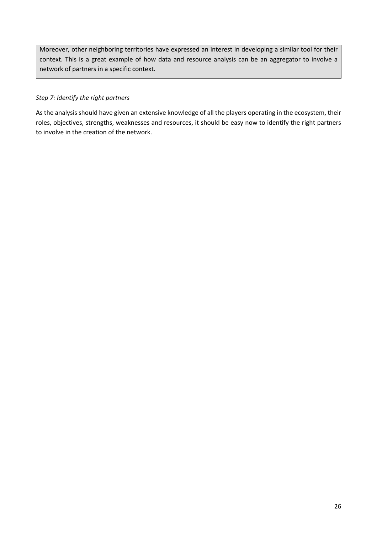Moreover, other neighboring territories have expressed an interest in developing a similar tool for their context. This is a great example of how data and resource analysis can be an aggregator to involve a network of partners in a specific context.

#### *Step 7: Identify the right partners*

As the analysis should have given an extensive knowledge of all the players operating in the ecosystem, their roles, objectives, strengths, weaknesses and resources, it should be easy now to identify the right partners to involve in the creation of the network.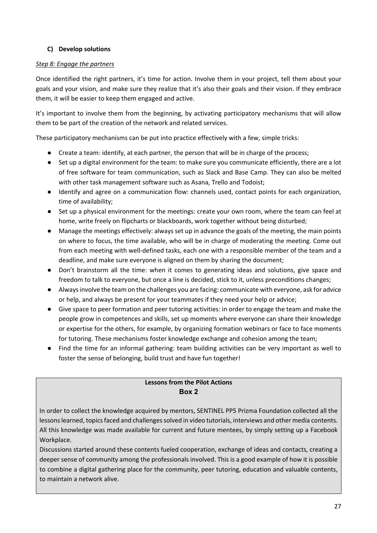#### **C) Develop solutions**

#### *Step 8: Engage the partners*

Once identified the right partners, it's time for action. Involve them in your project, tell them about your goals and your vision, and make sure they realize that it's also their goals and their vision. If they embrace them, it will be easier to keep them engaged and active.

It's important to involve them from the beginning, by activating participatory mechanisms that will allow them to be part of the creation of the network and related services.

These participatory mechanisms can be put into practice effectively with a few, simple tricks:

- Create a team: identify, at each partner, the person that will be in charge of the process;
- Set up a digital environment for the team: to make sure you communicate efficiently, there are a lot of free software for team communication, such as Slack and Base Camp. They can also be melted with other task management software such as Asana, Trello and Todoist;
- Identify and agree on a communication flow: channels used, contact points for each organization, time of availability;
- Set up a physical environment for the meetings: create your own room, where the team can feel at home, write freely on flipcharts or blackboards, work together without being disturbed;
- Manage the meetings effectively: always set up in advance the goals of the meeting, the main points on where to focus, the time available, who will be in charge of moderating the meeting. Come out from each meeting with well-defined tasks, each one with a responsible member of the team and a deadline, and make sure everyone is aligned on them by sharing the document;
- Don't brainstorm all the time: when it comes to generating ideas and solutions, give space and freedom to talk to everyone, but once a line is decided, stick to it, unless preconditions changes;
- Always involve the team on the challenges you are facing: communicate with everyone, ask for advice or help, and always be present for your teammates if they need your help or advice;
- Give space to peer formation and peer tutoring activities: in order to engage the team and make the people grow in competences and skills, set up moments where everyone can share their knowledge or expertise for the others, for example, by organizing formation webinars or face to face moments for tutoring. These mechanisms foster knowledge exchange and cohesion among the team;
- Find the time for an informal gathering: team building activities can be very important as well to foster the sense of belonging, build trust and have fun together!

#### **Lessons from the Pilot Actions Box 2**

In order to collect the knowledge acquired by mentors, SENTINEL PP5 Prizma Foundation collected all the lessons learned, topics faced and challenges solved in video tutorials, interviews and other media contents. All this knowledge was made available for current and future mentees, by simply setting up a Facebook Workplace.

Discussions started around these contents fueled cooperation, exchange of ideas and contacts, creating a deeper sense of community among the professionals involved. This is a good example of how it is possible to combine a digital gathering place for the community, peer tutoring, education and valuable contents, to maintain a network alive.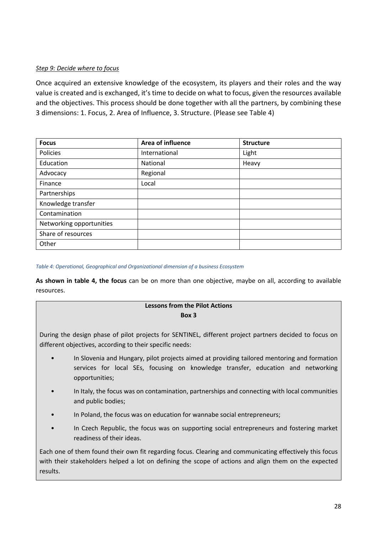#### *Step 9: Decide where to focus*

Once acquired an extensive knowledge of the ecosystem, its players and their roles and the way value is created and is exchanged, it's time to decide on what to focus, given the resources available and the objectives. This process should be done together with all the partners, by combining these 3 dimensions: 1. Focus, 2. Area of Influence, 3. Structure. (Please see Table 4)

| <b>Focus</b>             | Area of influence | <b>Structure</b> |  |  |
|--------------------------|-------------------|------------------|--|--|
| Policies                 | International     | Light            |  |  |
| Education                | National          | Heavy            |  |  |
| Advocacy                 | Regional          |                  |  |  |
| Finance                  | Local             |                  |  |  |
| Partnerships             |                   |                  |  |  |
| Knowledge transfer       |                   |                  |  |  |
| Contamination            |                   |                  |  |  |
| Networking opportunities |                   |                  |  |  |
| Share of resources       |                   |                  |  |  |
| Other                    |                   |                  |  |  |

*Table 4: Operational, Geographical and Organizational dimension of a business Ecosystem*

**As shown in table 4, the focus** can be on more than one objective, maybe on all, according to available resources.

#### **Lessons from the Pilot Actions Box 3**

During the design phase of pilot projects for SENTINEL, different project partners decided to focus on different objectives, according to their specific needs:

- In Slovenia and Hungary, pilot projects aimed at providing tailored mentoring and formation services for local SEs, focusing on knowledge transfer, education and networking opportunities;
- In Italy, the focus was on contamination, partnerships and connecting with local communities and public bodies;
- In Poland, the focus was on education for wannabe social entrepreneurs;
- In Czech Republic, the focus was on supporting social entrepreneurs and fostering market readiness of their ideas.

Each one of them found their own fit regarding focus. Clearing and communicating effectively this focus with their stakeholders helped a lot on defining the scope of actions and align them on the expected results.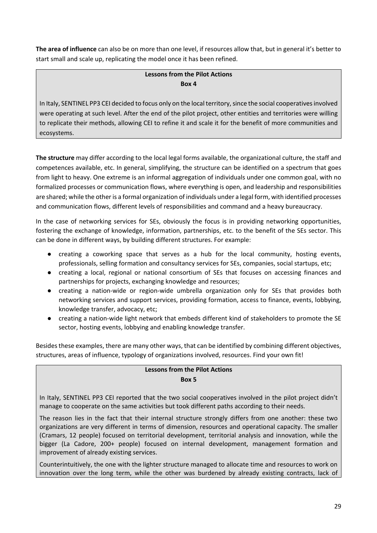**The area of influence** can also be on more than one level, if resources allow that, but in general it's better to start small and scale up, replicating the model once it has been refined.

#### **Lessons from the Pilot Actions Box 4**

In Italy, SENTINEL PP3 CEI decided to focus only on the local territory, since the social cooperatives involved were operating at such level. After the end of the pilot project, other entities and territories were willing to replicate their methods, allowing CEI to refine it and scale it for the benefit of more communities and ecosystems.

**The structure** may differ according to the local legal forms available, the organizational culture, the staff and competences available, etc. In general, simplifying, the structure can be identified on a spectrum that goes from light to heavy. One extreme is an informal aggregation of individuals under one common goal, with no formalized processes or communication flows, where everything is open, and leadership and responsibilities are shared; while the other is a formal organization of individuals under a legal form, with identified processes and communication flows, different levels of responsibilities and command and a heavy bureaucracy.

In the case of networking services for SEs, obviously the focus is in providing networking opportunities, fostering the exchange of knowledge, information, partnerships, etc. to the benefit of the SEs sector. This can be done in different ways, by building different structures. For example:

- creating a coworking space that serves as a hub for the local community, hosting events, professionals, selling formation and consultancy services for SEs, companies, social startups, etc;
- creating a local, regional or national consortium of SEs that focuses on accessing finances and partnerships for projects, exchanging knowledge and resources;
- creating a nation-wide or region-wide umbrella organization only for SEs that provides both networking services and support services, providing formation, access to finance, events, lobbying, knowledge transfer, advocacy, etc;
- creating a nation-wide light network that embeds different kind of stakeholders to promote the SE sector, hosting events, lobbying and enabling knowledge transfer.

Besides these examples, there are many other ways, that can be identified by combining different objectives, structures, areas of influence, typology of organizations involved, resources. Find your own fit!

#### **Lessons from the Pilot Actions Box 5**

In Italy, SENTINEL PP3 CEI reported that the two social cooperatives involved in the pilot project didn't manage to cooperate on the same activities but took different paths according to their needs.

The reason lies in the fact that their internal structure strongly differs from one another: these two organizations are very different in terms of dimension, resources and operational capacity. The smaller (Cramars, 12 people) focused on territorial development, territorial analysis and innovation, while the bigger (La Cadore, 200+ people) focused on internal development, management formation and improvement of already existing services.

Counterintuitively, the one with the lighter structure managed to allocate time and resources to work on innovation over the long term, while the other was burdened by already existing contracts, lack of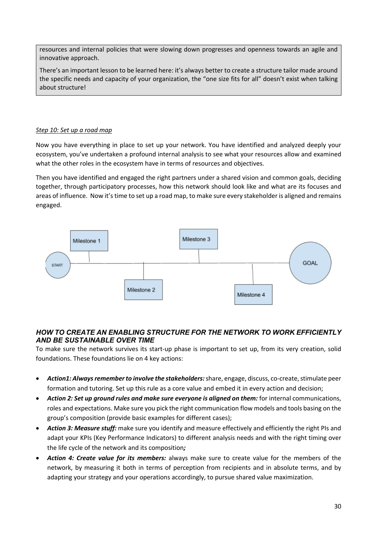resources and internal policies that were slowing down progresses and openness towards an agile and innovative approach.

There's an important lesson to be learned here: it's always better to create a structure tailor made around the specific needs and capacity of your organization, the "one size fits for all" doesn't exist when talking about structure!

#### *Step 10: Set up a road map*

Now you have everything in place to set up your network. You have identified and analyzed deeply your ecosystem, you've undertaken a profound internal analysis to see what your resources allow and examined what the other roles in the ecosystem have in terms of resources and objectives.

Then you have identified and engaged the right partners under a shared vision and common goals, deciding together, through participatory processes, how this network should look like and what are its focuses and areas of influence. Now it's time to set up a road map, to make sure every stakeholder is aligned and remains engaged.



#### *HOW TO CREATE AN ENABLING STRUCTURE FOR THE NETWORK TO WORK EFFICIENTLY AND BE SUSTAINABLE OVER TIME*

To make sure the network survives its start-up phase is important to set up, from its very creation, solid foundations. These foundations lie on 4 key actions:

- *Action1: Always remember to involve the stakeholders:*share, engage, discuss, co-create, stimulate peer formation and tutoring. Set up this rule as a core value and embed it in every action and decision;
- *Action 2: Set up ground rules and make sure everyone is aligned on them:* for internal communications, roles and expectations. Make sure you pick the right communication flow models and tools basing on the group's composition (provide basic examples for different cases);
- *Action 3: Measure stuff:* make sure you identify and measure effectively and efficiently the right PIs and adapt your KPIs (Key Performance Indicators) to different analysis needs and with the right timing over the life cycle of the network and its composition*;*
- *Action 4: Create value for its members:* always make sure to create value for the members of the network, by measuring it both in terms of perception from recipients and in absolute terms, and by adapting your strategy and your operations accordingly, to pursue shared value maximization.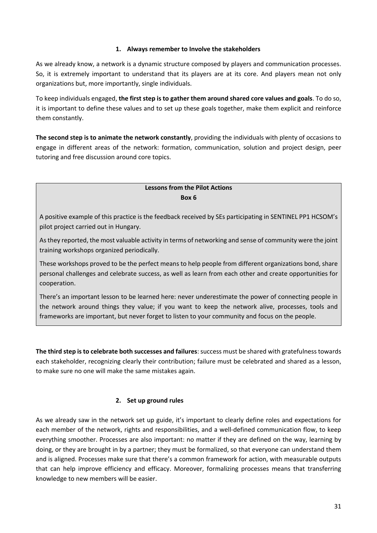#### **1. Always remember to Involve the stakeholders**

As we already know, a network is a dynamic structure composed by players and communication processes. So, it is extremely important to understand that its players are at its core. And players mean not only organizations but, more importantly, single individuals.

To keep individuals engaged, **the first step is to gather them around shared core values and goals**. To do so, it is important to define these values and to set up these goals together, make them explicit and reinforce them constantly.

**The second step is to animate the network constantly**, providing the individuals with plenty of occasions to engage in different areas of the network: formation, communication, solution and project design, peer tutoring and free discussion around core topics.

#### **Lessons from the Pilot Actions Box 6**

A positive example of this practice is the feedback received by SEs participating in SENTINEL PP1 HCSOM's pilot project carried out in Hungary.

As they reported, the most valuable activity in terms of networking and sense of community were the joint training workshops organized periodically.

These workshops proved to be the perfect means to help people from different organizations bond, share personal challenges and celebrate success, as well as learn from each other and create opportunities for cooperation.

There's an important lesson to be learned here: never underestimate the power of connecting people in the network around things they value; if you want to keep the network alive, processes, tools and frameworks are important, but never forget to listen to your community and focus on the people.

**The third step is to celebrate both successes and failures**: success must be shared with gratefulness towards each stakeholder, recognizing clearly their contribution; failure must be celebrated and shared as a lesson, to make sure no one will make the same mistakes again.

#### **2. Set up ground rules**

As we already saw in the network set up guide, it's important to clearly define roles and expectations for each member of the network, rights and responsibilities, and a well-defined communication flow, to keep everything smoother. Processes are also important: no matter if they are defined on the way, learning by doing, or they are brought in by a partner; they must be formalized, so that everyone can understand them and is aligned. Processes make sure that there's a common framework for action, with measurable outputs that can help improve efficiency and efficacy. Moreover, formalizing processes means that transferring knowledge to new members will be easier.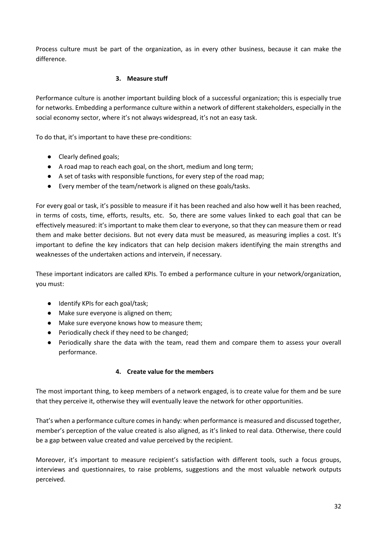Process culture must be part of the organization, as in every other business, because it can make the difference.

#### **3. Measure stuff**

Performance culture is another important building block of a successful organization; this is especially true for networks. Embedding a performance culture within a network of different stakeholders, especially in the social economy sector, where it's not always widespread, it's not an easy task.

To do that, it's important to have these pre-conditions:

- Clearly defined goals;
- A road map to reach each goal, on the short, medium and long term;
- A set of tasks with responsible functions, for every step of the road map;
- Every member of the team/network is aligned on these goals/tasks.

For every goal or task, it's possible to measure if it has been reached and also how well it has been reached, in terms of costs, time, efforts, results, etc. So, there are some values linked to each goal that can be effectively measured: it's important to make them clear to everyone, so that they can measure them or read them and make better decisions. But not every data must be measured, as measuring implies a cost. It's important to define the key indicators that can help decision makers identifying the main strengths and weaknesses of the undertaken actions and intervein, if necessary.

These important indicators are called KPIs. To embed a performance culture in your network/organization, you must:

- Identify KPIs for each goal/task;
- Make sure everyone is aligned on them;
- Make sure everyone knows how to measure them;
- Periodically check if they need to be changed;
- Periodically share the data with the team, read them and compare them to assess your overall performance.

#### **4. Create value for the members**

The most important thing, to keep members of a network engaged, is to create value for them and be sure that they perceive it, otherwise they will eventually leave the network for other opportunities.

That's when a performance culture comes in handy: when performance is measured and discussed together, member's perception of the value created is also aligned, as it's linked to real data. Otherwise, there could be a gap between value created and value perceived by the recipient.

Moreover, it's important to measure recipient's satisfaction with different tools, such a focus groups, interviews and questionnaires, to raise problems, suggestions and the most valuable network outputs perceived.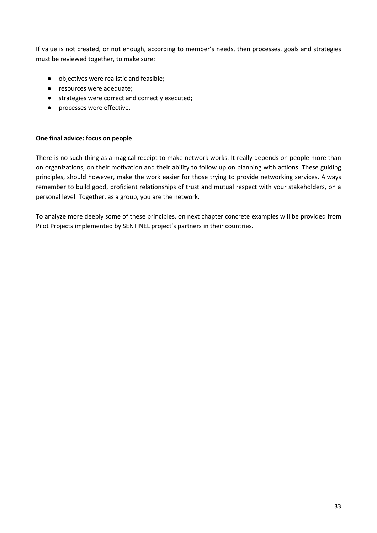If value is not created, or not enough, according to member's needs, then processes, goals and strategies must be reviewed together, to make sure:

- objectives were realistic and feasible;
- resources were adequate;
- strategies were correct and correctly executed;
- processes were effective.

#### **One final advice: focus on people**

There is no such thing as a magical receipt to make network works. It really depends on people more than on organizations, on their motivation and their ability to follow up on planning with actions. These guiding principles, should however, make the work easier for those trying to provide networking services. Always remember to build good, proficient relationships of trust and mutual respect with your stakeholders, on a personal level. Together, as a group, you are the network.

To analyze more deeply some of these principles, on next chapter concrete examples will be provided from Pilot Projects implemented by SENTINEL project's partners in their countries.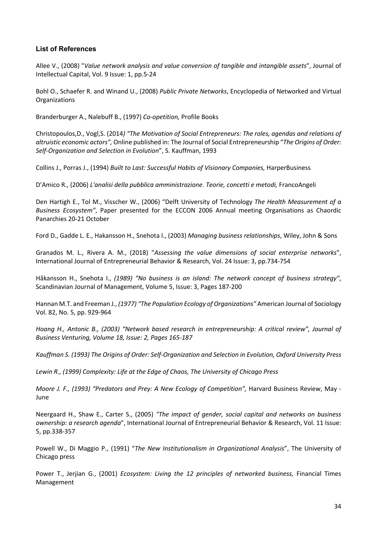#### **List of References**

Allee V., (2008) "*Value network analysis and value conversion of tangible and intangible assets*", Journal of Intellectual Capital, Vol. 9 Issue: 1, pp.5-24

Bohl O., Schaefer R. and Winand U., (2008) *Public Private Networks*, Encyclopedia of Networked and Virtual **Organizations** 

Branderburger A., Nalebuff B., (1997) *Co-opetition,* Profile Books

Christopoulos,D., Vogl,S. (2014*) "The Motivation of Social Entrepreneurs: The roles, agendas and relations of altruistic economic actors",* Online published in: The Journal of Social Entrepreneurship "*The Origins of Order: Self-Organization and Selection in Evolution*", S. Kauffman, 1993

Collins J., Porras J., (1994) *Built to Last: Successful Habits of Visionary Companies,* HarperBusiness

D'Amico R., (2006) *L'analisi della pubblica amministrazione. Teorie, concetti e metodi,* FrancoAngeli

Den Hartigh E., Tol M., Visscher W., (2006) "Delft University of Technology *The Health Measurement of a Business Ecosystem"*, Paper presented for the ECCON 2006 Annual meeting Organisations as Chaordic Panarchies 20-21 October

Ford D., Gadde L. E., Hakansson H., Snehota I., (2003) *Managing business relationships*, Wiley, John & Sons

Granados M. L., Rivera A. M., (2018) "*Assessing the value dimensions of social enterprise networks*", International Journal of Entrepreneurial Behavior & Research, Vol. 24 Issue: 3, pp.734-754

Håkansson H., Snehota I., *(1989) "No business is an island: The network concept of business strategy"*, Scandinavian Journal of Management, Volume 5, Issue: 3, Pages 187-200

Hannan M.T. and Freeman J., *(1977) "The Population Ecology of Organizations"* American Journal of Sociology Vol. 82, No. 5, pp. 929-964

*Hoang H., Antonic B., (2003) "Network based research in entrepreneurship: A critical review", Journal of Business Venturing, Volume 18, Issue: 2, Pages 165-187*

*Kauffman S. (1993) The Origins of Order: Self-Organization and Selection in Evolution, Oxford University Press*

*Lewin R., (1999) Complexity: Life at the Edge of Chaos, The University of Chicago Press*

*Moore J. F., (1993) "Predators and Prey: A New Ecology of Competition",* Harvard Business Review, May - June

Neergaard H., Shaw E., Carter S., (2005) *"The impact of gender, social capital and networks on business ownership: a research agenda*", International Journal of Entrepreneurial Behavior & Research, Vol. 11 Issue: 5, pp.338-357

Powell W., Di Maggio P., (1991) "*The New Institutionalism in Organizational Analysis*", The University of Chicago press

Power T., Jerjian G., (2001) *Ecosystem: Living the 12 principles of networked business,* Financial Times Management